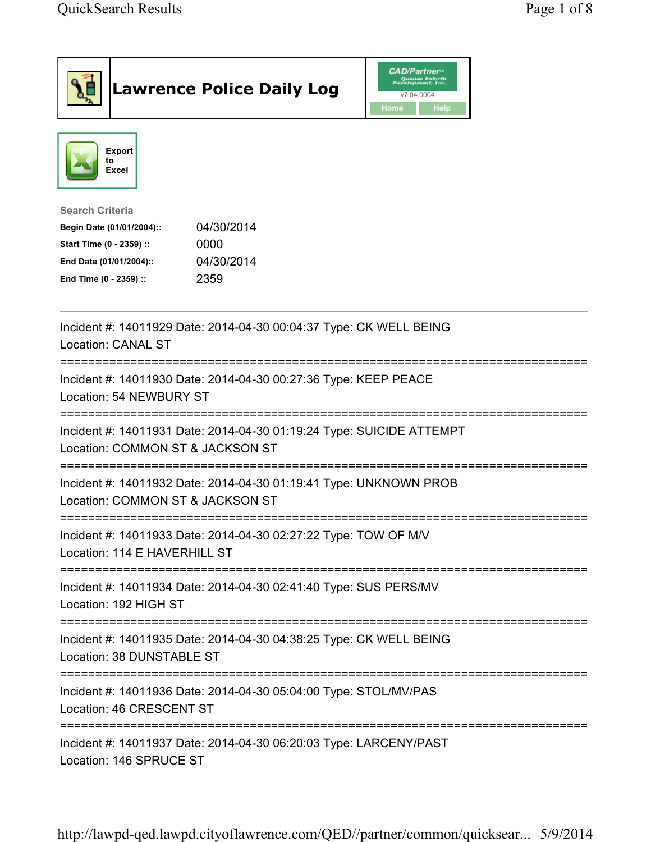| <b>Lawrence Police Daily Log</b>                                                                                                                                                 | <b>CAD/Partner</b> ®<br>Queues Enforth<br>Development, Inc.<br>v7.04.0004<br>Home<br>Help |
|----------------------------------------------------------------------------------------------------------------------------------------------------------------------------------|-------------------------------------------------------------------------------------------|
| <b>Export</b><br>to<br><b>Excel</b>                                                                                                                                              |                                                                                           |
| <b>Search Criteria</b><br>04/30/2014<br>Begin Date (01/01/2004)::<br>Start Time (0 - 2359) ::<br>0000<br>04/30/2014<br>End Date (01/01/2004)::<br>2359<br>End Time (0 - 2359) :: |                                                                                           |
| Incident #: 14011929 Date: 2014-04-30 00:04:37 Type: CK WELL BEING<br><b>Location: CANAL ST</b>                                                                                  |                                                                                           |
| Incident #: 14011930 Date: 2014-04-30 00:27:36 Type: KEEP PEACE<br>Location: 54 NEWBURY ST                                                                                       |                                                                                           |
| Incident #: 14011931 Date: 2014-04-30 01:19:24 Type: SUICIDE ATTEMPT<br>Location: COMMON ST & JACKSON ST                                                                         |                                                                                           |
| Incident #: 14011932 Date: 2014-04-30 01:19:41 Type: UNKNOWN PROB<br>Location: COMMON ST & JACKSON ST                                                                            |                                                                                           |
| Incident #: 14011933 Date: 2014-04-30 02:27:22 Type: TOW OF M/V<br>Location: 114 E HAVERHILL ST                                                                                  |                                                                                           |
| Incident #: 14011934 Date: 2014-04-30 02:41:40 Type: SUS PERS/MV<br>Location: 192 HIGH ST                                                                                        |                                                                                           |
| Incident #: 14011935 Date: 2014-04-30 04:38:25 Type: CK WELL BEING<br>Location: 38 DUNSTABLE ST                                                                                  |                                                                                           |
| Incident #: 14011936 Date: 2014-04-30 05:04:00 Type: STOL/MV/PAS<br>Location: 46 CRESCENT ST                                                                                     |                                                                                           |
| Incident #: 14011937 Date: 2014-04-30 06:20:03 Type: LARCENY/PAST<br>Location: 146 SPRUCE ST                                                                                     |                                                                                           |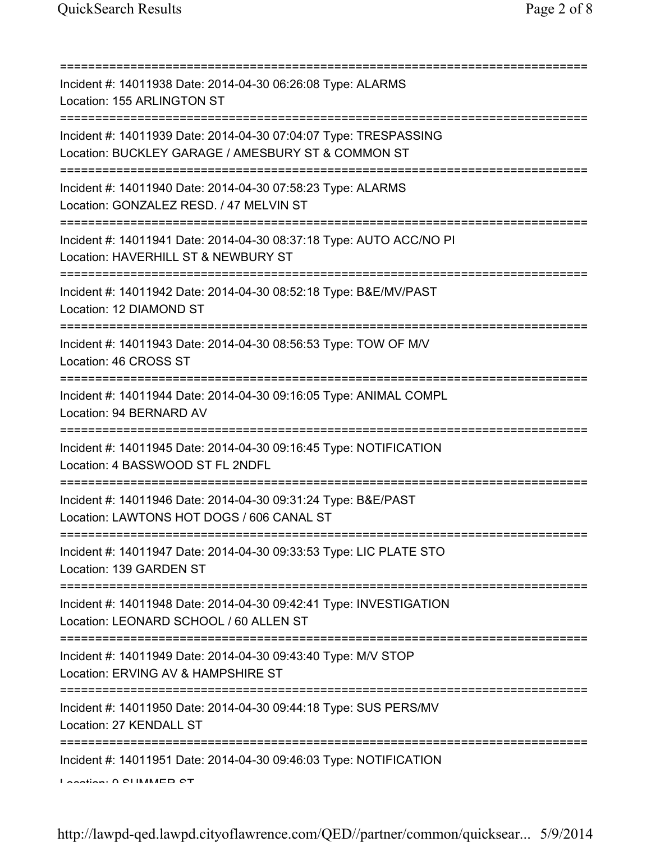| Incident #: 14011938 Date: 2014-04-30 06:26:08 Type: ALARMS<br>Location: 155 ARLINGTON ST                                                |
|------------------------------------------------------------------------------------------------------------------------------------------|
| Incident #: 14011939 Date: 2014-04-30 07:04:07 Type: TRESPASSING<br>Location: BUCKLEY GARAGE / AMESBURY ST & COMMON ST                   |
| Incident #: 14011940 Date: 2014-04-30 07:58:23 Type: ALARMS<br>Location: GONZALEZ RESD. / 47 MELVIN ST                                   |
| Incident #: 14011941 Date: 2014-04-30 08:37:18 Type: AUTO ACC/NO PI<br>Location: HAVERHILL ST & NEWBURY ST<br>========================== |
| Incident #: 14011942 Date: 2014-04-30 08:52:18 Type: B&E/MV/PAST<br>Location: 12 DIAMOND ST                                              |
| Incident #: 14011943 Date: 2014-04-30 08:56:53 Type: TOW OF M/V<br>Location: 46 CROSS ST                                                 |
| Incident #: 14011944 Date: 2014-04-30 09:16:05 Type: ANIMAL COMPL<br>Location: 94 BERNARD AV<br>==============================           |
| Incident #: 14011945 Date: 2014-04-30 09:16:45 Type: NOTIFICATION<br>Location: 4 BASSWOOD ST FL 2NDFL<br>=====================           |
| Incident #: 14011946 Date: 2014-04-30 09:31:24 Type: B&E/PAST<br>Location: LAWTONS HOT DOGS / 606 CANAL ST                               |
| Incident #: 14011947 Date: 2014-04-30 09:33:53 Type: LIC PLATE STO<br>Location: 139 GARDEN ST                                            |
| Incident #: 14011948 Date: 2014-04-30 09:42:41 Type: INVESTIGATION<br>Location: LEONARD SCHOOL / 60 ALLEN ST                             |
| Incident #: 14011949 Date: 2014-04-30 09:43:40 Type: M/V STOP<br>Location: ERVING AV & HAMPSHIRE ST                                      |
| Incident #: 14011950 Date: 2014-04-30 09:44:18 Type: SUS PERS/MV<br>Location: 27 KENDALL ST                                              |
| Incident #: 14011951 Date: 2014-04-30 09:46:03 Type: NOTIFICATION<br>Lootion: 0 CLIMMED CT                                               |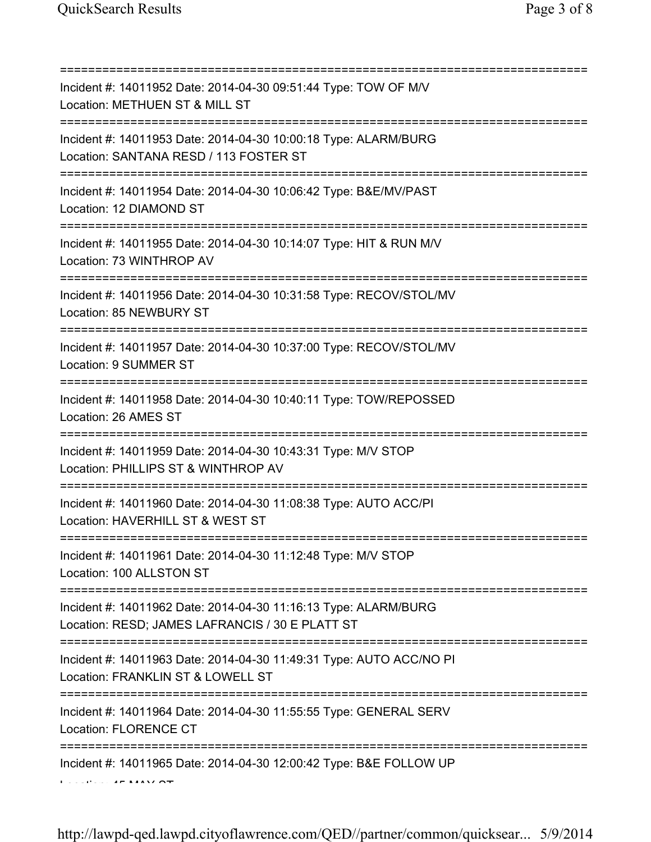| Incident #: 14011952 Date: 2014-04-30 09:51:44 Type: TOW OF M/V<br>Location: METHUEN ST & MILL ST<br>=======================                 |
|----------------------------------------------------------------------------------------------------------------------------------------------|
| Incident #: 14011953 Date: 2014-04-30 10:00:18 Type: ALARM/BURG<br>Location: SANTANA RESD / 113 FOSTER ST<br>=============================== |
| Incident #: 14011954 Date: 2014-04-30 10:06:42 Type: B&E/MV/PAST<br>Location: 12 DIAMOND ST                                                  |
| Incident #: 14011955 Date: 2014-04-30 10:14:07 Type: HIT & RUN M/V<br>Location: 73 WINTHROP AV<br>=====================================      |
| Incident #: 14011956 Date: 2014-04-30 10:31:58 Type: RECOV/STOL/MV<br>Location: 85 NEWBURY ST                                                |
| Incident #: 14011957 Date: 2014-04-30 10:37:00 Type: RECOV/STOL/MV<br>Location: 9 SUMMER ST                                                  |
| Incident #: 14011958 Date: 2014-04-30 10:40:11 Type: TOW/REPOSSED<br>Location: 26 AMES ST                                                    |
| Incident #: 14011959 Date: 2014-04-30 10:43:31 Type: M/V STOP<br>Location: PHILLIPS ST & WINTHROP AV                                         |
| Incident #: 14011960 Date: 2014-04-30 11:08:38 Type: AUTO ACC/PI<br>Location: HAVERHILL ST & WEST ST                                         |
| Incident #: 14011961 Date: 2014-04-30 11:12:48 Type: M/V STOP<br>Location: 100 ALLSTON ST                                                    |
| Incident #: 14011962 Date: 2014-04-30 11:16:13 Type: ALARM/BURG<br>Location: RESD; JAMES LAFRANCIS / 30 E PLATT ST                           |
| Incident #: 14011963 Date: 2014-04-30 11:49:31 Type: AUTO ACC/NO PI<br>Location: FRANKLIN ST & LOWELL ST                                     |
| Incident #: 14011964 Date: 2014-04-30 11:55:55 Type: GENERAL SERV<br><b>Location: FLORENCE CT</b>                                            |
| Incident #: 14011965 Date: 2014-04-30 12:00:42 Type: B&E FOLLOW UP                                                                           |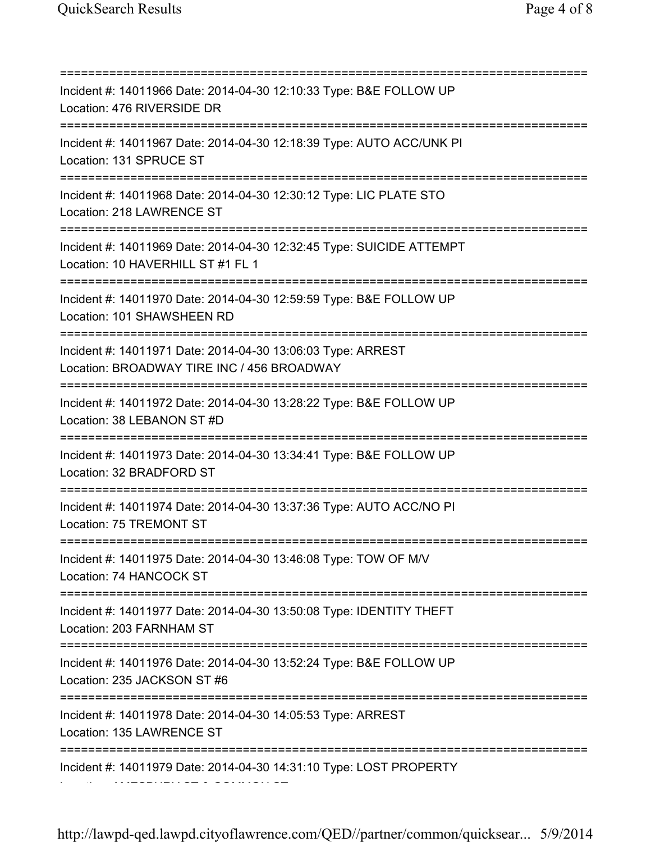=========================================================================== Incident #: 14011966 Date: 2014-04-30 12:10:33 Type: B&E FOLLOW UP Location: 476 RIVERSIDE DR =========================================================================== Incident #: 14011967 Date: 2014-04-30 12:18:39 Type: AUTO ACC/UNK PI Location: 131 SPRUCE ST =========================================================================== Incident #: 14011968 Date: 2014-04-30 12:30:12 Type: LIC PLATE STO Location: 218 LAWRENCE ST =========================================================================== Incident #: 14011969 Date: 2014-04-30 12:32:45 Type: SUICIDE ATTEMPT Location: 10 HAVERHILL ST #1 FL 1 =========================================================================== Incident #: 14011970 Date: 2014-04-30 12:59:59 Type: B&E FOLLOW UP Location: 101 SHAWSHEEN RD =========================================================================== Incident #: 14011971 Date: 2014-04-30 13:06:03 Type: ARREST Location: BROADWAY TIRE INC / 456 BROADWAY =========================================================================== Incident #: 14011972 Date: 2014-04-30 13:28:22 Type: B&E FOLLOW UP Location: 38 LEBANON ST #D =========================================================================== Incident #: 14011973 Date: 2014-04-30 13:34:41 Type: B&E FOLLOW UP Location: 32 BRADFORD ST =========================================================================== Incident #: 14011974 Date: 2014-04-30 13:37:36 Type: AUTO ACC/NO PI Location: 75 TREMONT ST =========================================================================== Incident #: 14011975 Date: 2014-04-30 13:46:08 Type: TOW OF M/V Location: 74 HANCOCK ST =========================================================================== Incident #: 14011977 Date: 2014-04-30 13:50:08 Type: IDENTITY THEFT Location: 203 FARNHAM ST =========================================================================== Incident #: 14011976 Date: 2014-04-30 13:52:24 Type: B&E FOLLOW UP Location: 235 JACKSON ST #6 =========================================================================== Incident #: 14011978 Date: 2014-04-30 14:05:53 Type: ARREST Location: 135 LAWRENCE ST =========================================================================== Incident #: 14011979 Date: 2014-04-30 14:31:10 Type: LOST PROPERTY Location: AMESBURY ST & COMMON ST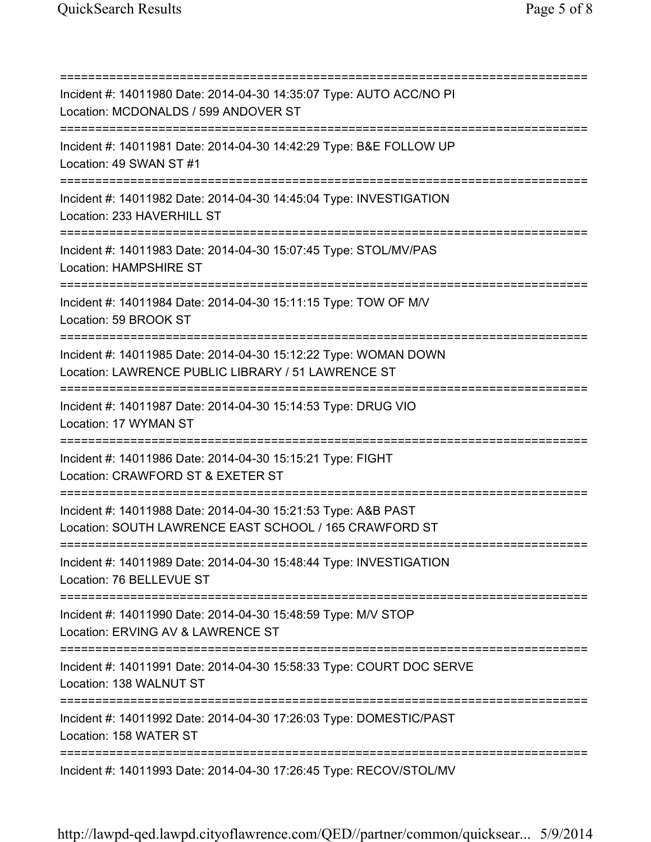=========================================================================== Incident #: 14011980 Date: 2014-04-30 14:35:07 Type: AUTO ACC/NO PI Location: MCDONALDS / 599 ANDOVER ST =========================================================================== Incident #: 14011981 Date: 2014-04-30 14:42:29 Type: B&E FOLLOW UP Location: 49 SWAN ST #1 =========================================================================== Incident #: 14011982 Date: 2014-04-30 14:45:04 Type: INVESTIGATION Location: 233 HAVERHILL ST =========================================================================== Incident #: 14011983 Date: 2014-04-30 15:07:45 Type: STOL/MV/PAS Location: HAMPSHIRE ST =========================================================================== Incident #: 14011984 Date: 2014-04-30 15:11:15 Type: TOW OF M/V Location: 59 BROOK ST =========================================================================== Incident #: 14011985 Date: 2014-04-30 15:12:22 Type: WOMAN DOWN Location: LAWRENCE PUBLIC LIBRARY / 51 LAWRENCE ST =========================================================================== Incident #: 14011987 Date: 2014-04-30 15:14:53 Type: DRUG VIO Location: 17 WYMAN ST =========================================================================== Incident #: 14011986 Date: 2014-04-30 15:15:21 Type: FIGHT Location: CRAWFORD ST & EXETER ST =========================================================================== Incident #: 14011988 Date: 2014-04-30 15:21:53 Type: A&B PAST Location: SOUTH LAWRENCE EAST SCHOOL / 165 CRAWFORD ST =========================================================================== Incident #: 14011989 Date: 2014-04-30 15:48:44 Type: INVESTIGATION Location: 76 BELLEVUE ST =========================================================================== Incident #: 14011990 Date: 2014-04-30 15:48:59 Type: M/V STOP Location: ERVING AV & LAWRENCE ST =========================================================================== Incident #: 14011991 Date: 2014-04-30 15:58:33 Type: COURT DOC SERVE Location: 138 WALNUT ST =========================================================================== Incident #: 14011992 Date: 2014-04-30 17:26:03 Type: DOMESTIC/PAST Location: 158 WATER ST =========================================================================== Incident #: 14011993 Date: 2014-04-30 17:26:45 Type: RECOV/STOL/MV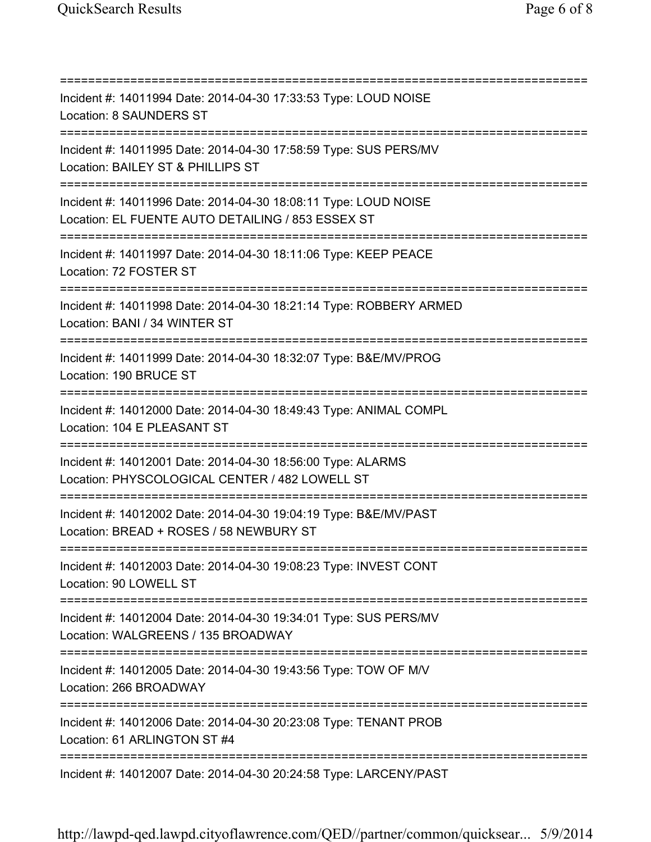=========================================================================== Incident #: 14011994 Date: 2014-04-30 17:33:53 Type: LOUD NOISE Location: 8 SAUNDERS ST =========================================================================== Incident #: 14011995 Date: 2014-04-30 17:58:59 Type: SUS PERS/MV Location: BAILEY ST & PHILLIPS ST =========================================================================== Incident #: 14011996 Date: 2014-04-30 18:08:11 Type: LOUD NOISE Location: EL FUENTE AUTO DETAILING / 853 ESSEX ST =========================================================================== Incident #: 14011997 Date: 2014-04-30 18:11:06 Type: KEEP PEACE Location: 72 FOSTER ST =========================================================================== Incident #: 14011998 Date: 2014-04-30 18:21:14 Type: ROBBERY ARMED Location: BANI / 34 WINTER ST =========================================================================== Incident #: 14011999 Date: 2014-04-30 18:32:07 Type: B&E/MV/PROG Location: 190 BRUCE ST =========================================================================== Incident #: 14012000 Date: 2014-04-30 18:49:43 Type: ANIMAL COMPL Location: 104 E PLEASANT ST =========================================================================== Incident #: 14012001 Date: 2014-04-30 18:56:00 Type: ALARMS Location: PHYSCOLOGICAL CENTER / 482 LOWELL ST =========================================================================== Incident #: 14012002 Date: 2014-04-30 19:04:19 Type: B&E/MV/PAST Location: BREAD + ROSES / 58 NEWBURY ST =========================================================================== Incident #: 14012003 Date: 2014-04-30 19:08:23 Type: INVEST CONT Location: 90 LOWELL ST =========================================================================== Incident #: 14012004 Date: 2014-04-30 19:34:01 Type: SUS PERS/MV Location: WALGREENS / 135 BROADWAY =========================================================================== Incident #: 14012005 Date: 2014-04-30 19:43:56 Type: TOW OF M/V Location: 266 BROADWAY =========================================================================== Incident #: 14012006 Date: 2014-04-30 20:23:08 Type: TENANT PROB Location: 61 ARLINGTON ST #4 =========================================================================== Incident #: 14012007 Date: 2014-04-30 20:24:58 Type: LARCENY/PAST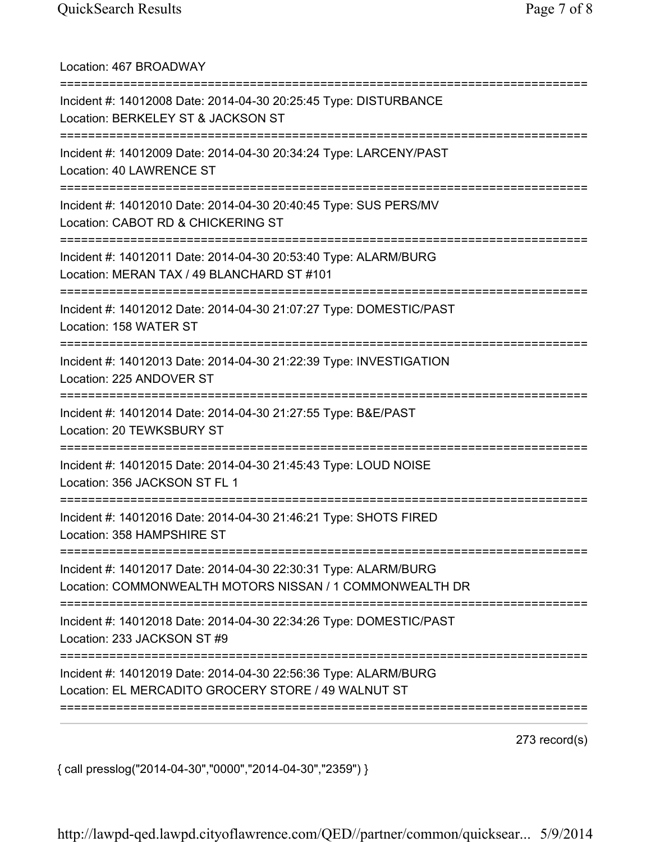| Location: 467 BROADWAY                                                                                                                          |
|-------------------------------------------------------------------------------------------------------------------------------------------------|
| Incident #: 14012008 Date: 2014-04-30 20:25:45 Type: DISTURBANCE<br>Location: BERKELEY ST & JACKSON ST                                          |
| Incident #: 14012009 Date: 2014-04-30 20:34:24 Type: LARCENY/PAST<br>Location: 40 LAWRENCE ST                                                   |
| Incident #: 14012010 Date: 2014-04-30 20:40:45 Type: SUS PERS/MV<br>Location: CABOT RD & CHICKERING ST<br>===================================== |
| Incident #: 14012011 Date: 2014-04-30 20:53:40 Type: ALARM/BURG<br>Location: MERAN TAX / 49 BLANCHARD ST #101                                   |
| Incident #: 14012012 Date: 2014-04-30 21:07:27 Type: DOMESTIC/PAST<br>Location: 158 WATER ST<br>===============================                 |
| Incident #: 14012013 Date: 2014-04-30 21:22:39 Type: INVESTIGATION<br>Location: 225 ANDOVER ST                                                  |
| Incident #: 14012014 Date: 2014-04-30 21:27:55 Type: B&E/PAST<br>Location: 20 TEWKSBURY ST                                                      |
| Incident #: 14012015 Date: 2014-04-30 21:45:43 Type: LOUD NOISE<br>Location: 356 JACKSON ST FL 1                                                |
| Incident #: 14012016 Date: 2014-04-30 21:46:21 Type: SHOTS FIRED<br>Location: 358 HAMPSHIRE ST                                                  |
| Incident #: 14012017 Date: 2014-04-30 22:30:31 Type: ALARM/BURG<br>Location: COMMONWEALTH MOTORS NISSAN / 1 COMMONWEALTH DR                     |
| Incident #: 14012018 Date: 2014-04-30 22:34:26 Type: DOMESTIC/PAST<br>Location: 233 JACKSON ST #9                                               |
| Incident #: 14012019 Date: 2014-04-30 22:56:36 Type: ALARM/BURG<br>Location: EL MERCADITO GROCERY STORE / 49 WALNUT ST                          |
|                                                                                                                                                 |

273 record(s)

{ call presslog("2014-04-30","0000","2014-04-30","2359") }